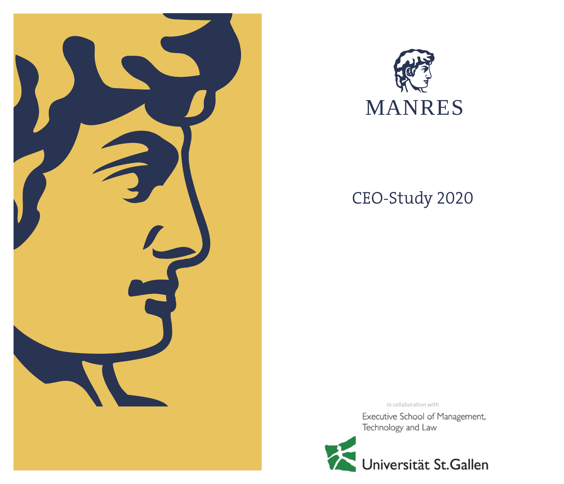



## CEO-Study 2020

In collaboration with

Executive School of Management, Technology and Law

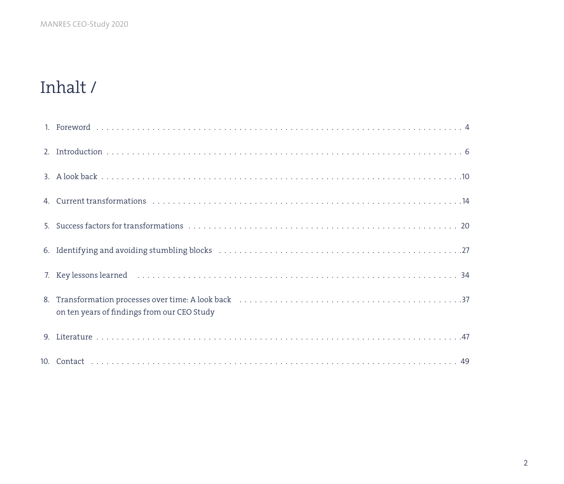# Inhalt /

| on ten years of findings from our CEO Study |
|---------------------------------------------|
|                                             |
|                                             |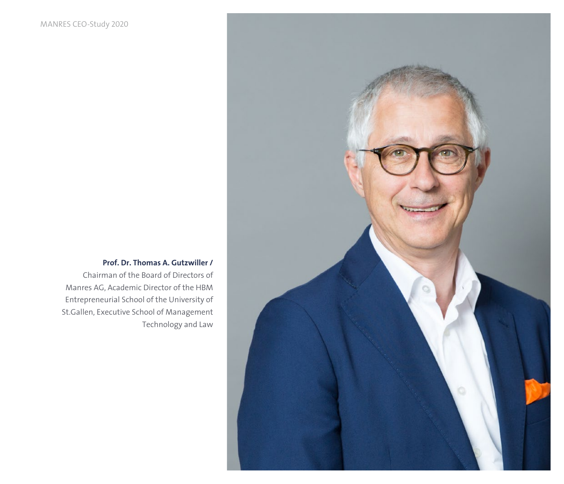### **Prof. Dr. Thomas A. Gutzwiller /**

Chairman of the Board of Directors of Manres AG, Academic Director of the HBM Entrepreneurial School of the University of St.Gallen, Executive School of Management Technology and Law

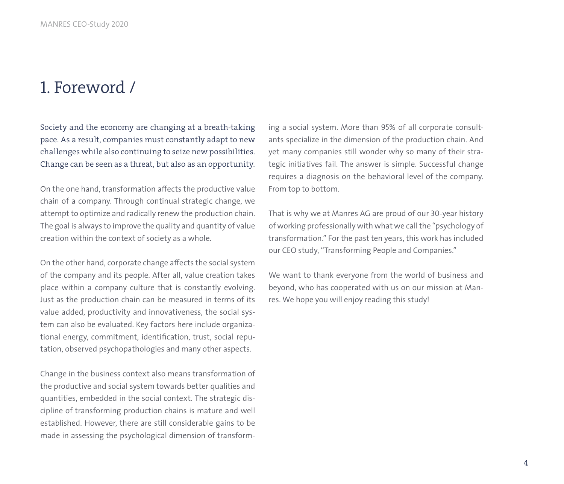### 1. Foreword /

Society and the economy are changing at a breath-taking pace. As a result, companies must constantly adapt to new challenges while also continuing to seize new possibilities. Change can be seen as a threat, but also as an opportunity.

On the one hand, transformation affects the productive value chain of a company. Through continual strategic change, we attempt to optimize and radically renew the production chain. The goal is always to improve the quality and quantity of value creation within the context of society as a whole.

On the other hand, corporate change affects the social system of the company and its people. After all, value creation takes place within a company culture that is constantly evolving. Just as the production chain can be measured in terms of its value added, productivity and innovativeness, the social system can also be evaluated. Key factors here include organizational energy, commitment, identification, trust, social reputation, observed psychopathologies and many other aspects.

Change in the business context also means transformation of the productive and social system towards better qualities and quantities, embedded in the social context. The strategic discipline of transforming production chains is mature and well established. However, there are still considerable gains to be made in assessing the psychological dimension of transforming a social system. More than 95% of all corporate consultants specialize in the dimension of the production chain. And yet many companies still wonder why so many of their strategic initiatives fail. The answer is simple. Successful change requires a diagnosis on the behavioral level of the company. From top to bottom.

That is why we at Manres AG are proud of our 30-year history of working professionally with what we call the "psychology of transformation." For the past ten years, this work has included our CEO study, "Transforming People and Companies."

We want to thank everyone from the world of business and beyond, who has cooperated with us on our mission at Manres. We hope you will enjoy reading this study!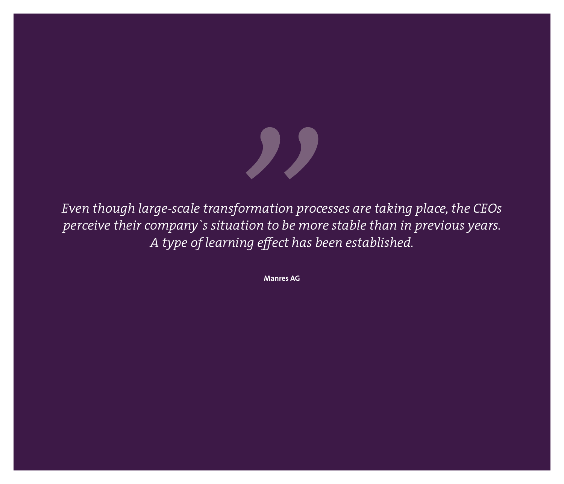

*Even though large-scale transformation processes are taking place, the CEOs perceive their company`s situation to be more stable than in previous years. A type of learning effect has been established.*

**Manres AG**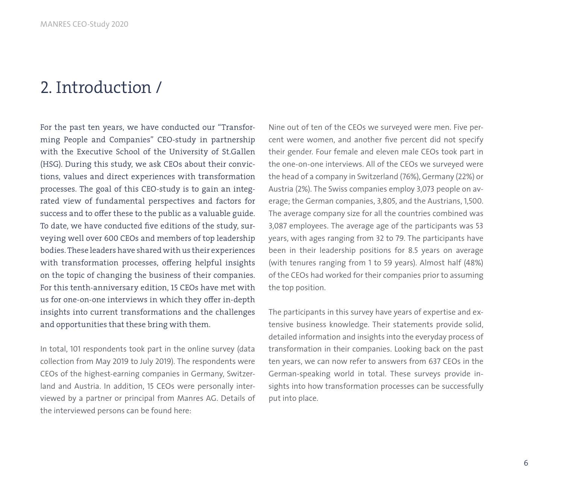### 2. Introduction /

For the past ten years, we have conducted our "Transforming People and Companies" CEO-study in partnership with the Executive School of the University of St.Gallen (HSG). During this study, we ask CEOs about their convictions, values and direct experiences with transformation processes. The goal of this CEO-study is to gain an integrated view of fundamental perspectives and factors for success and to offer these to the public as a valuable guide. To date, we have conducted five editions of the study, surveying well over 600 CEOs and members of top leadership bodies. These leaders have shared with us their experiences with transformation processes, offering helpful insights on the topic of changing the business of their companies. For this tenth-anniversary edition, 15 CEOs have met with us for one-on-one interviews in which they offer in-depth insights into current transformations and the challenges and opportunities that these bring with them.

In total, 101 respondents took part in the online survey (data collection from May 2019 to July 2019). The respondents were CEOs of the highest-earning companies in Germany, Switzerland and Austria. In addition, 15 CEOs were personally interviewed by a partner or principal from Manres AG. Details of the interviewed persons can be found here:

Nine out of ten of the CEOs we surveyed were men. Five percent were women, and another five percent did not specify their gender. Four female and eleven male CEOs took part in the one-on-one interviews. All of the CEOs we surveyed were the head of a company in Switzerland (76%), Germany (22%) or Austria (2%). The Swiss companies employ 3,073 people on average; the German companies, 3,805, and the Austrians, 1,500. The average company size for all the countries combined was 3,087 employees. The average age of the participants was 53 years, with ages ranging from 32 to 79. The participants have been in their leadership positions for 8.5 years on average (with tenures ranging from 1 to 59 years). Almost half (48%) of the CEOs had worked for their companies prior to assuming the top position.

The participants in this survey have years of expertise and extensive business knowledge. Their statements provide solid, detailed information and insights into the everyday process of transformation in their companies. Looking back on the past ten years, we can now refer to answers from 637 CEOs in the German-speaking world in total. These surveys provide insights into how transformation processes can be successfully put into place.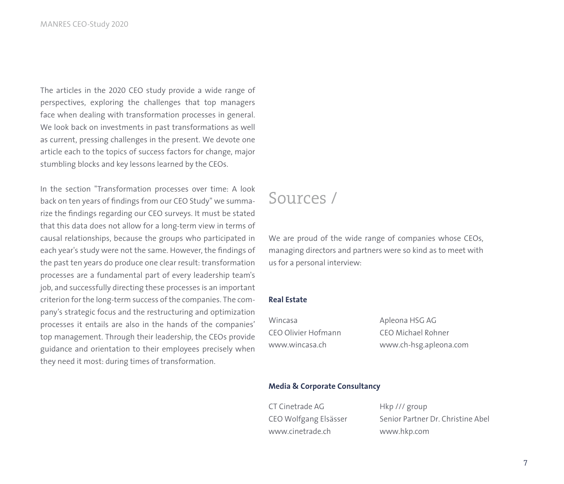The articles in the 2020 CEO study provide a wide range of perspectives, exploring the challenges that top managers face when dealing with transformation processes in general. We look back on investments in past transformations as well as current, pressing challenges in the present. We devote one article each to the topics of success factors for change, major stumbling blocks and key lessons learned by the CEOs.

In the section "Transformation processes over time: A look back on ten years of findings from our CEO Study" we summarize the findings regarding our CEO surveys. It must be stated that this data does not allow for a long-term view in terms of causal relationships, because the groups who participated in each year's study were not the same. However, the findings of the past ten years do produce one clear result: transformation processes are a fundamental part of every leadership team's job, and successfully directing these processes is an important criterion for the long-term success of the companies. The company's strategic focus and the restructuring and optimization processes it entails are also in the hands of the companies' top management. Through their leadership, the CEOs provide guidance and orientation to their employees precisely when they need it most: during times of transformation.

### Sources /

We are proud of the wide range of companies whose CEOs, managing directors and partners were so kind as to meet with us for a personal interview:

#### **Real Estate**

| Wincasa             | Apleona HSG AG         |
|---------------------|------------------------|
| CEO Olivier Hofmann | CEO Michael Rohner     |
| www.wincasa.ch      | www.ch-hsg.apleona.com |

#### **Media & Corporate Consultancy**

| CT Cinetrade AG       | Hkp /// group                     |
|-----------------------|-----------------------------------|
| CEO Wolfgang Elsässer | Senior Partner Dr. Christine Abel |
| www.cinetrade.ch      | www.hkp.com                       |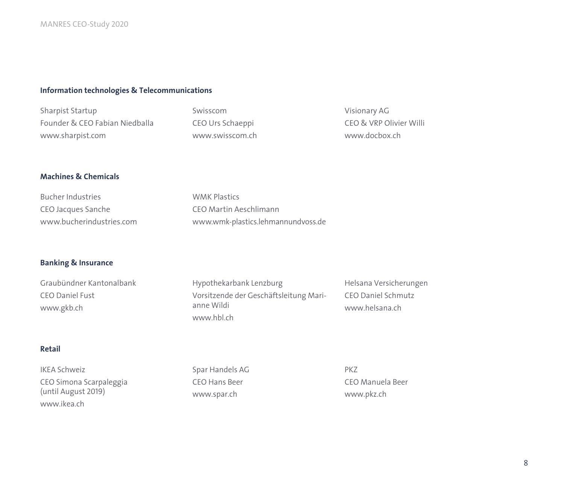### **Information technologies & Telecommunications**

| Sharpist Startup               | Swisscom         |   |
|--------------------------------|------------------|---|
| Founder & CEO Fabian Niedballa | CEO Urs Schaeppi |   |
| www.sharpist.com               | www.swisscom.ch  | W |

Visionary AG CEO & VRP Olivier Willi www.docbox.ch

### **Machines & Chemicals**

| Bucher Industries        | <b>WMK Plastics</b>                |
|--------------------------|------------------------------------|
| CEO Jacques Sanche       | CEO Martin Aeschlimann             |
| www.bucherindustries.com | www.wmk-plastics.lehmannundvoss.de |

### **Banking & Insurance**

| Graubündner Kantonalbank | Hypothekarbank Lenzburg                | Helsana Versicherungen |
|--------------------------|----------------------------------------|------------------------|
| CEO Daniel Fust          | Vorsitzende der Geschäftsleitung Mari- | CEO Daniel Schmutz     |
| www.gkb.ch               | anne Wildi                             | www.helsana.ch         |
|                          | www.hbl.ch                             |                        |

### **Retail**

IKEA Schweiz CEO Simona Scarpaleggia (until August 2019) www.ikea.ch

Spar Handels AG CEO Hans Beer www.spar.ch

PKZ CEO Manuela Beer www.pkz.ch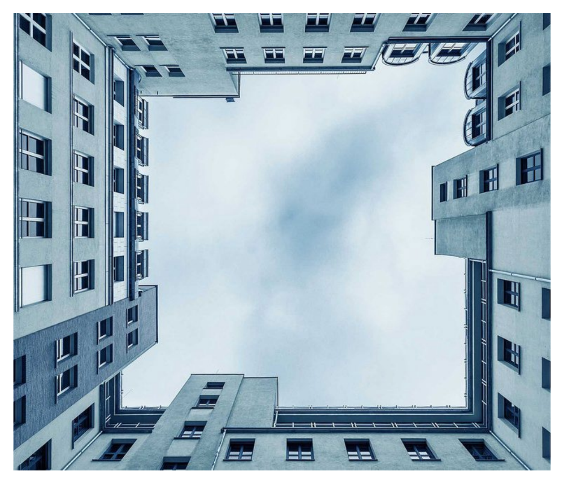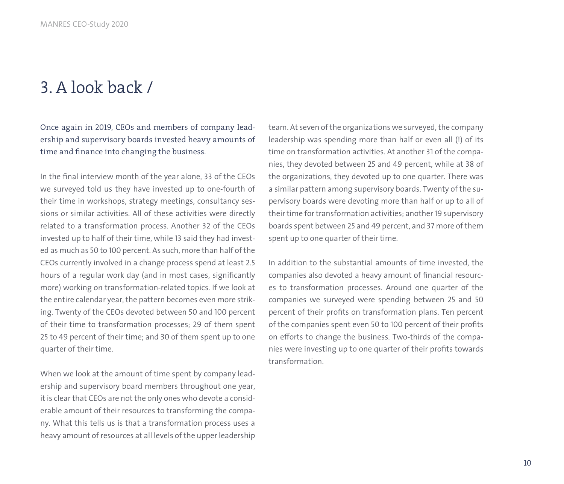### 3. A look back /

Once again in 2019, CEOs and members of company leadership and supervisory boards invested heavy amounts of time and finance into changing the business.

In the final interview month of the year alone, 33 of the CEOs we surveyed told us they have invested up to one-fourth of their time in workshops, strategy meetings, consultancy sessions or similar activities. All of these activities were directly related to a transformation process. Another 32 of the CEOs invested up to half of their time, while 13 said they had invested as much as 50 to 100 percent. As such, more than half of the CEOs currently involved in a change process spend at least 2.5 hours of a regular work day (and in most cases, significantly more) working on transformation-related topics. If we look at the entire calendar year, the pattern becomes even more striking. Twenty of the CEOs devoted between 50 and 100 percent of their time to transformation processes; 29 of them spent 25 to 49 percent of their time; and 30 of them spent up to one quarter of their time.

When we look at the amount of time spent by company leadership and supervisory board members throughout one year, it is clear that CEOs are not the only ones who devote a considerable amount of their resources to transforming the company. What this tells us is that a transformation process uses a heavy amount of resources at all levels of the upper leadership team. At seven of the organizations we surveyed, the company leadership was spending more than half or even all (!) of its time on transformation activities. At another 31 of the companies, they devoted between 25 and 49 percent, while at 38 of the organizations, they devoted up to one quarter. There was a similar pattern among supervisory boards. Twenty of the supervisory boards were devoting more than half or up to all of their time for transformation activities; another 19 supervisory boards spent between 25 and 49 percent, and 37 more of them spent up to one quarter of their time.

In addition to the substantial amounts of time invested, the companies also devoted a heavy amount of financial resources to transformation processes. Around one quarter of the companies we surveyed were spending between 25 and 50 percent of their profits on transformation plans. Ten percent of the companies spent even 50 to 100 percent of their profits on efforts to change the business. Two-thirds of the companies were investing up to one quarter of their profits towards transformation.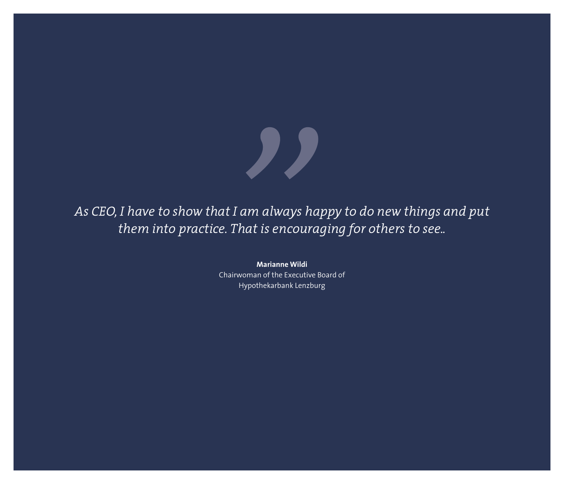

*As CEO, I have to show that I am always happy to do new things and put them into practice. That is encouraging for others to see..*

> **Marianne Wildi** Chairwoman of the Executive Board of Hypothekarbank Lenzburg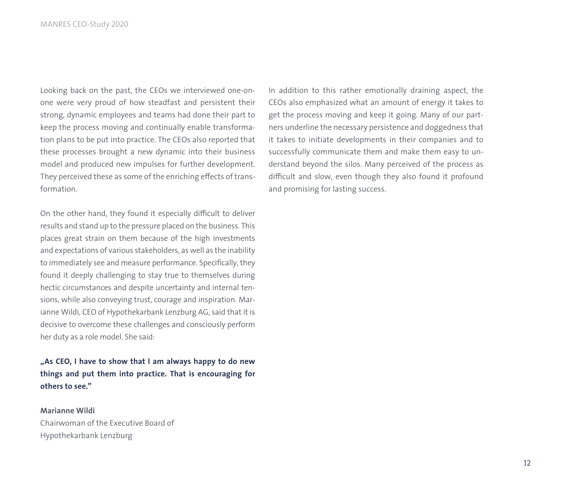Looking back on the past, the CEOs we interviewed one-onone were very proud of how steadfast and persistent their strong, dynamic employees and teams had done their part to keep the process moving and continually enable transformation plans to be put into practice. The CEOs also reported that these processes brought a new dynamic into their business model and produced new impulses for further development. They perceived these as some of the enriching effects of transformation.

On the other hand, they found it especially difficult to deliver results and stand up to the pressure placed on the business. This places great strain on them because of the high investments and expectations of various stakeholders, as well as the inability to immediately see and measure performance. Specifically, they found it deeply challenging to stay true to themselves during hectic circumstances and despite uncertainty and internal tensions, while also conveying trust, courage and inspiration. Marianne Wildi, CEO of Hypothekarbank Lenzburg AG, said that it is decisive to overcome these challenges and consciously perform her duty as a role model. She said:

**"As CEO, I have to show that I am always happy to do new things and put them into practice. That is encouraging for others to see."**

#### **Marianne Wildi**

Chairwoman of the Executive Board of Hypothekarbank Lenzburg

In addition to this rather emotionally draining aspect, the CEOs also emphasized what an amount of energy it takes to get the process moving and keep it going. Many of our partners underline the necessary persistence and doggedness that it takes to initiate developments in their companies and to successfully communicate them and make them easy to understand beyond the silos. Many perceived of the process as difficult and slow, even though they also found it profound and promising for lasting success.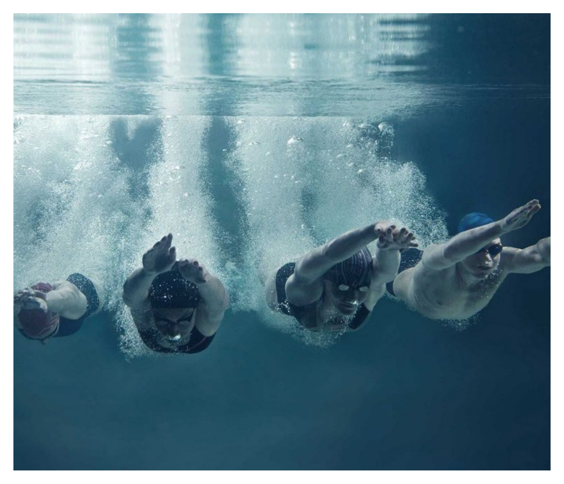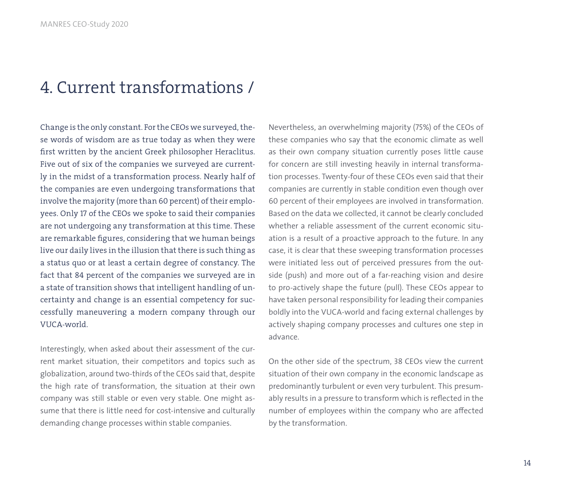### 4. Current transformations /

Change is the only constant. For the CEOs we surveyed, these words of wisdom are as true today as when they were first written by the ancient Greek philosopher Heraclitus. Five out of six of the companies we surveyed are currently in the midst of a transformation process. Nearly half of the companies are even undergoing transformations that involve the majority (more than 60 percent) of their employees. Only 17 of the CEOs we spoke to said their companies are not undergoing any transformation at this time. These are remarkable figures, considering that we human beings live our daily lives in the illusion that there is such thing as a status quo or at least a certain degree of constancy. The fact that 84 percent of the companies we surveyed are in a state of transition shows that intelligent handling of uncertainty and change is an essential competency for successfully maneuvering a modern company through our VUCA-world.

Interestingly, when asked about their assessment of the current market situation, their competitors and topics such as globalization, around two-thirds of the CEOs said that, despite the high rate of transformation, the situation at their own company was still stable or even very stable. One might assume that there is little need for cost-intensive and culturally demanding change processes within stable companies.

Nevertheless, an overwhelming majority (75%) of the CEOs of these companies who say that the economic climate as well as their own company situation currently poses little cause for concern are still investing heavily in internal transformation processes. Twenty-four of these CEOs even said that their companies are currently in stable condition even though over 60 percent of their employees are involved in transformation. Based on the data we collected, it cannot be clearly concluded whether a reliable assessment of the current economic situation is a result of a proactive approach to the future. In any case, it is clear that these sweeping transformation processes were initiated less out of perceived pressures from the outside (push) and more out of a far-reaching vision and desire to pro-actively shape the future (pull). These CEOs appear to have taken personal responsibility for leading their companies boldly into the VUCA-world and facing external challenges by actively shaping company processes and cultures one step in advance.

On the other side of the spectrum, 38 CEOs view the current situation of their own company in the economic landscape as predominantly turbulent or even very turbulent. This presumably results in a pressure to transform which is reflected in the number of employees within the company who are affected by the transformation.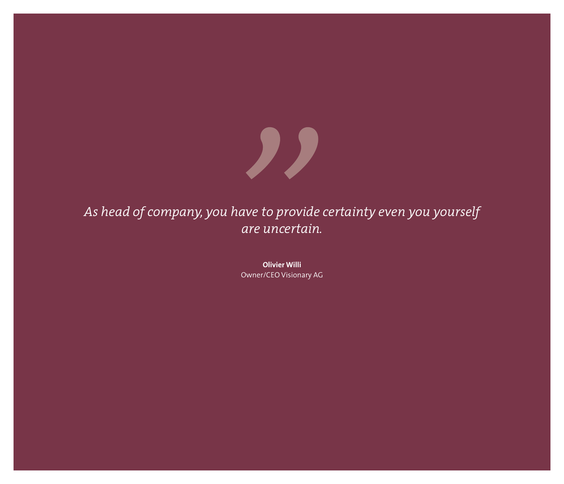

*As head of company, you have to provide certainty even you yourself are uncertain.*

> **Olivier Willi** Owner/CEO Visionary AG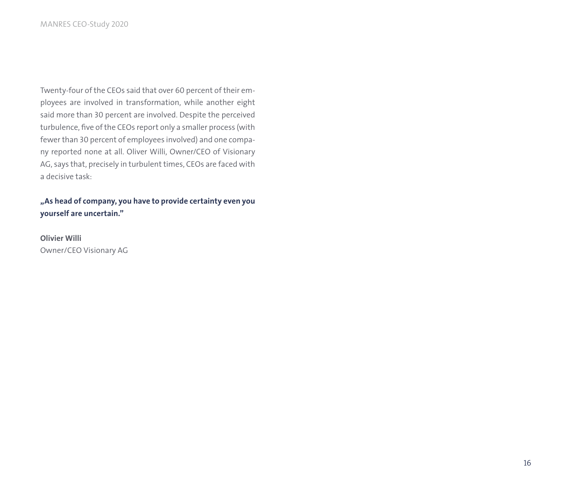Twenty-four of the CEOs said that over 60 percent of their employees are involved in transformation, while another eight said more than 30 percent are involved. Despite the perceived turbulence, five of the CEOs report only a smaller process (with fewer than 30 percent of employees involved) and one company reported none at all. Oliver Willi, Owner/CEO of Visionary AG, says that, precisely in turbulent times, CEOs are faced with a decisive task:

**"As head of company, you have to provide certainty even you yourself are uncertain."**

**Olivier Willi** Owner/CEO Visionary AG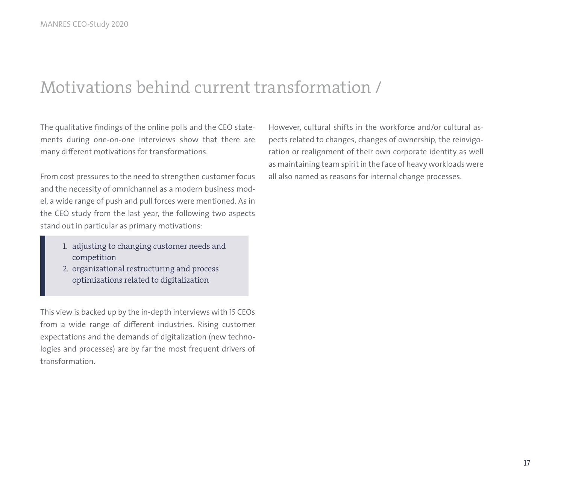## Motivations behind current transformation /

The qualitative findings of the online polls and the CEO statements during one-on-one interviews show that there are many different motivations for transformations.

From cost pressures to the need to strengthen customer focus and the necessity of omnichannel as a modern business model, a wide range of push and pull forces were mentioned. As in the CEO study from the last year, the following two aspects stand out in particular as primary motivations:

- 1. adjusting to changing customer needs and competition
- 2. organizational restructuring and process optimizations related to digitalization

This view is backed up by the in-depth interviews with 15 CEOs from a wide range of different industries. Rising customer expectations and the demands of digitalization (new technologies and processes) are by far the most frequent drivers of transformation.

However, cultural shifts in the workforce and/or cultural aspects related to changes, changes of ownership, the reinvigoration or realignment of their own corporate identity as well as maintaining team spirit in the face of heavy workloads were all also named as reasons for internal change processes.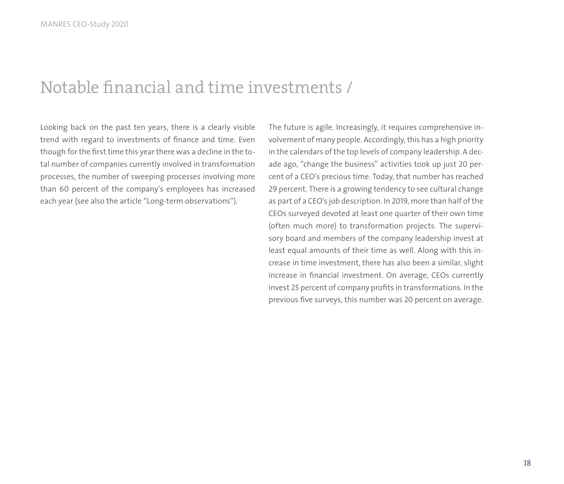### Notable financial and time investments /

Looking back on the past ten years, there is a clearly visible trend with regard to investments of finance and time. Even though for the first time this year there was a decline in the total number of companies currently involved in transformation processes, the number of sweeping processes involving more than 60 percent of the company's employees has increased each year (see also the article "Long-term observations").

The future is agile. Increasingly, it requires comprehensive involvement of many people. Accordingly, this has a high priority in the calendars of the top levels of company leadership. A decade ago, "change the business" activities took up just 20 percent of a CEO's precious time. Today, that number has reached 29 percent. There is a growing tendency to see cultural change as part of a CEO's job description. In 2019, more than half of the CEOs surveyed devoted at least one quarter of their own time (often much more) to transformation projects. The supervisory board and members of the company leadership invest at least equal amounts of their time as well. Along with this increase in time investment, there has also been a similar, slight increase in financial investment. On average, CEOs currently invest 25 percent of company profits in transformations. In the previous five surveys, this number was 20 percent on average.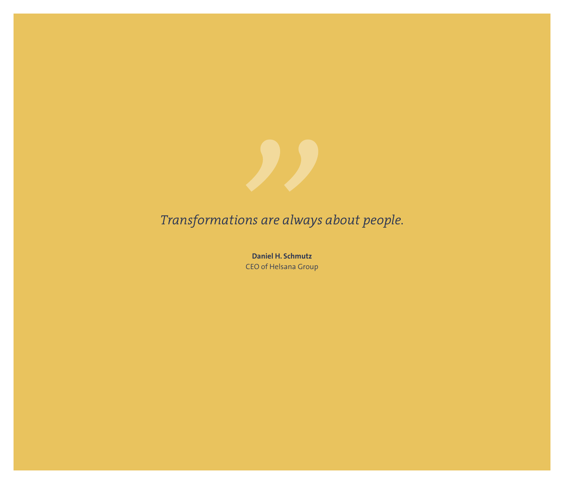

### *Transformations are always about people.*

**Daniel H. Schmutz** CEO of Helsana Group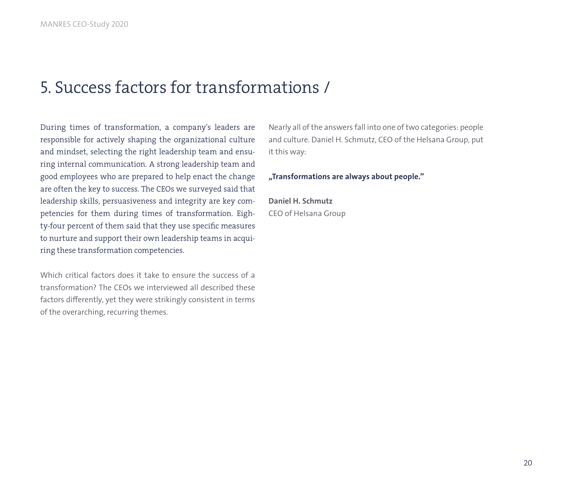## 5. Success factors for transformations /

During times of transformation, a company's leaders are responsible for actively shaping the organizational culture and mindset, selecting the right leadership team and ensuring internal communication. A strong leadership team and good employees who are prepared to help enact the change are often the key to success. The CEOs we surveyed said that leadership skills, persuasiveness and integrity are key competencies for them during times of transformation. Eighty-four percent of them said that they use specific measures to nurture and support their own leadership teams in acquiring these transformation competencies.

Which critical factors does it take to ensure the success of a transformation? The CEOs we interviewed all described these factors differently, yet they were strikingly consistent in terms of the overarching, recurring themes.

Nearly all of the answers fall into one of two categories: people and culture. Daniel H. Schmutz, CEO of the Helsana Group, put it this way:

#### **"Transformations are always about people."**

**Daniel H. Schmutz** CEO of Helsana Group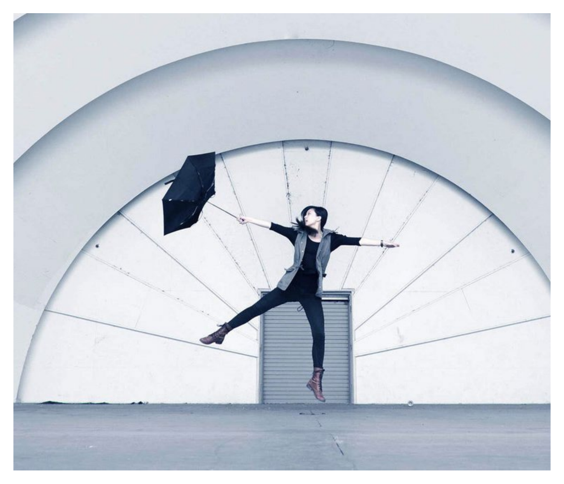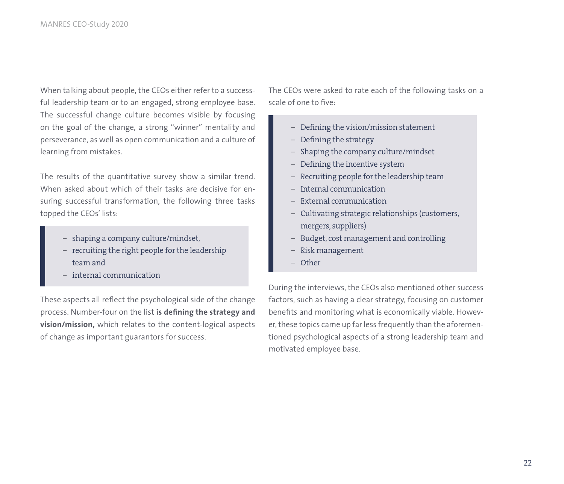When talking about people, the CEOs either refer to a successful leadership team or to an engaged, strong employee base. The successful change culture becomes visible by focusing on the goal of the change, a strong "winner" mentality and perseverance, as well as open communication and a culture of learning from mistakes.

The results of the quantitative survey show a similar trend. When asked about which of their tasks are decisive for ensuring successful transformation, the following three tasks topped the CEOs' lists:

- shaping a company culture/mindset,
- recruiting the right people for the leadership team and
- internal communication

These aspects all reflect the psychological side of the change process. Number-four on the list **is defining the strategy and vision/mission,** which relates to the content-logical aspects of change as important guarantors for success.

The CEOs were asked to rate each of the following tasks on a scale of one to five:

- Defining the vision/mission statement
- Defining the strategy
- Shaping the company culture/mindset
- Defining the incentive system
- Recruiting people for the leadership team
- Internal communication
- External communication
- Cultivating strategic relationships (customers, mergers, suppliers)
- Budget, cost management and controlling
- Risk management
- Other

During the interviews, the CEOs also mentioned other success factors, such as having a clear strategy, focusing on customer benefits and monitoring what is economically viable. However, these topics came up far less frequently than the aforementioned psychological aspects of a strong leadership team and motivated employee base.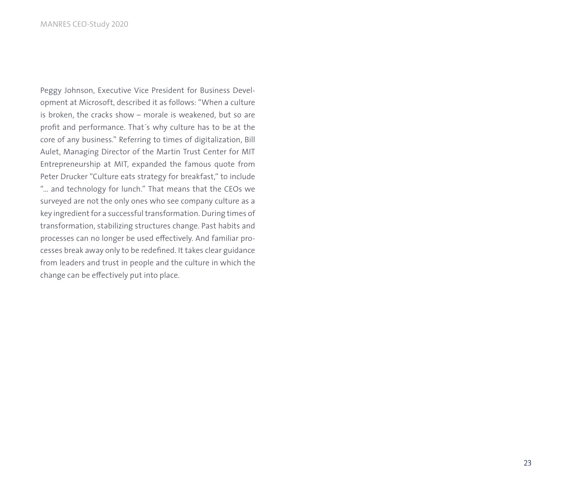Peggy Johnson, Executive Vice President for Business Development at Microsoft, described it as follows: "When a culture is broken, the cracks show – morale is weakened, but so are profit and performance. That´s why culture has to be at the core of any business." Referring to times of digitalization, Bill Aulet, Managing Director of the Martin Trust Center for MIT Entrepreneurship at MIT, expanded the famous quote from Peter Drucker "Culture eats strategy for breakfast," to include "… and technology for lunch." That means that the CEOs we surveyed are not the only ones who see company culture as a key ingredient for a successful transformation. During times of transformation, stabilizing structures change. Past habits and processes can no longer be used effectively. And familiar processes break away only to be redefined. It takes clear guidance from leaders and trust in people and the culture in which the change can be effectively put into place.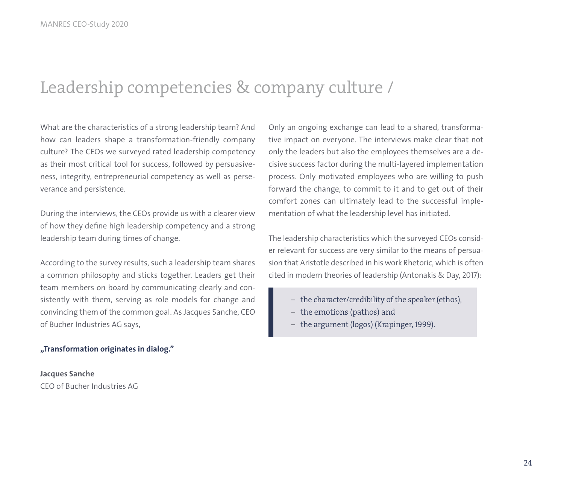## Leadership competencies & company culture /

What are the characteristics of a strong leadership team? And how can leaders shape a transformation-friendly company culture? The CEOs we surveyed rated leadership competency as their most critical tool for success, followed by persuasiveness, integrity, entrepreneurial competency as well as perseverance and persistence.

During the interviews, the CEOs provide us with a clearer view of how they define high leadership competency and a strong leadership team during times of change.

According to the survey results, such a leadership team shares a common philosophy and sticks together. Leaders get their team members on board by communicating clearly and consistently with them, serving as role models for change and convincing them of the common goal. As Jacques Sanche, CEO of Bucher Industries AG says,

#### **"Transformation originates in dialog."**

**Jacques Sanche** CEO of Bucher Industries AG Only an ongoing exchange can lead to a shared, transformative impact on everyone. The interviews make clear that not only the leaders but also the employees themselves are a decisive success factor during the multi-layered implementation process. Only motivated employees who are willing to push forward the change, to commit to it and to get out of their comfort zones can ultimately lead to the successful implementation of what the leadership level has initiated.

The leadership characteristics which the surveyed CEOs consider relevant for success are very similar to the means of persuasion that Aristotle described in his work Rhetoric, which is often cited in modern theories of leadership (Antonakis & Day, 2017):

- the character/credibility of the speaker (ethos),
- the emotions (pathos) and
- the argument (logos) (Krapinger, 1999).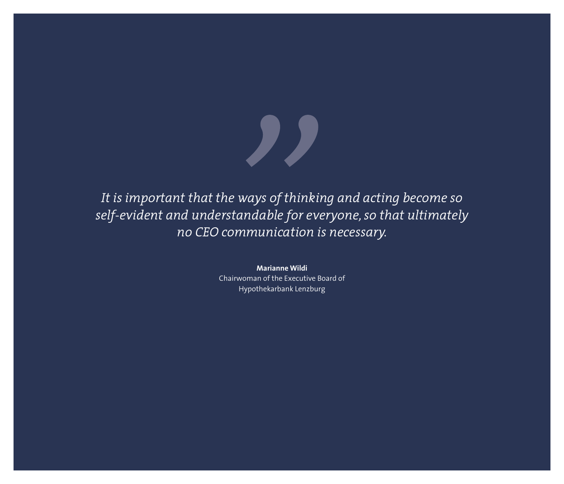

*It is important that the ways of thinking and acting become so self-evident and understandable for everyone, so that ultimately no CEO communication is necessary.*

**Marianne Wildi**

Chairwoman of the Executive Board of Hypothekarbank Lenzburg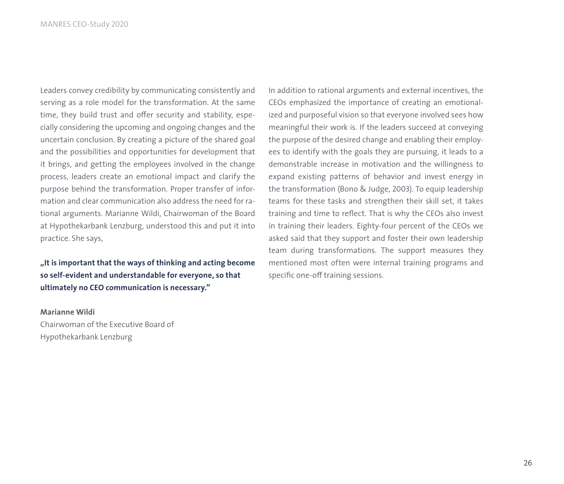Leaders convey credibility by communicating consistently and serving as a role model for the transformation. At the same time, they build trust and offer security and stability, especially considering the upcoming and ongoing changes and the uncertain conclusion. By creating a picture of the shared goal and the possibilities and opportunities for development that it brings, and getting the employees involved in the change process, leaders create an emotional impact and clarify the purpose behind the transformation. Proper transfer of information and clear communication also address the need for rational arguments. Marianne Wildi, Chairwoman of the Board at Hypothekarbank Lenzburg, understood this and put it into practice. She says,

### **"It is important that the ways of thinking and acting become so self-evident and understandable for everyone, so that ultimately no CEO communication is necessary."**

#### **Marianne Wildi**

Chairwoman of the Executive Board of Hypothekarbank Lenzburg

In addition to rational arguments and external incentives, the CEOs emphasized the importance of creating an emotionalized and purposeful vision so that everyone involved sees how meaningful their work is. If the leaders succeed at conveying the purpose of the desired change and enabling their employees to identify with the goals they are pursuing, it leads to a demonstrable increase in motivation and the willingness to expand existing patterns of behavior and invest energy in the transformation (Bono & Judge, 2003). To equip leadership teams for these tasks and strengthen their skill set, it takes training and time to reflect. That is why the CEOs also invest in training their leaders. Eighty-four percent of the CEOs we asked said that they support and foster their own leadership team during transformations. The support measures they mentioned most often were internal training programs and specific one-off training sessions.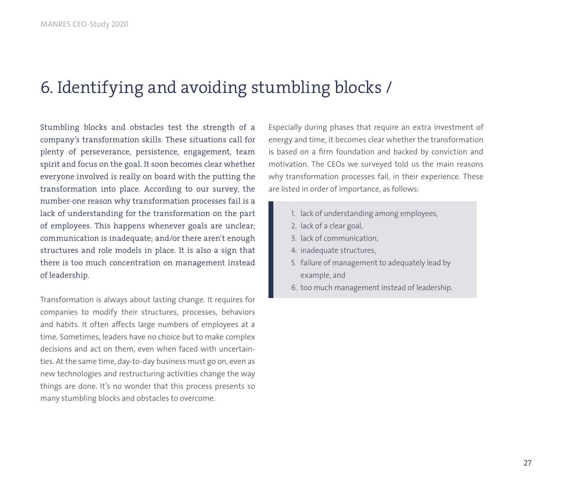## 6. Identifying and avoiding stumbling blocks /

Stumbling blocks and obstacles test the strength of a company's transformation skills. These situations call for plenty of perseverance, persistence, engagement, team spirit and focus on the goal. It soon becomes clear whether everyone involved is really on board with the putting the transformation into place. According to our survey, the number-one reason why transformation processes fail is a lack of understanding for the transformation on the part of employees. This happens whenever goals are unclear; communication is inadequate; and/or there aren't enough structures and role models in place. It is also a sign that there is too much concentration on management instead of leadership.

Transformation is always about lasting change. It requires for companies to modify their structures, processes, behaviors and habits. It often affects large numbers of employees at a time. Sometimes, leaders have no choice but to make complex decisions and act on them, even when faced with uncertainties. At the same time, day-to-day business must go on, even as new technologies and restructuring activities change the way things are done. It's no wonder that this process presents so many stumbling blocks and obstacles to overcome.

Especially during phases that require an extra investment of energy and time, it becomes clear whether the transformation is based on a firm foundation and backed by conviction and motivation. The CEOs we surveyed told us the main reasons why transformation processes fail, in their experience. These are listed in order of importance, as follows:

- 1. lack of understanding among employees,
- 2. lack of a clear goal,
- 3. lack of communication,
- 4. inadequate structures,
- 5. failure of management to adequately lead by example, and
- 6. too much management instead of leadership.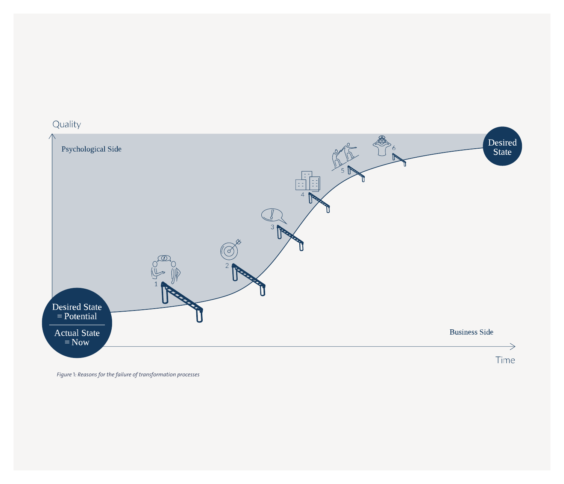

*Figure* 1*: Reasons for the failure of transformation processes*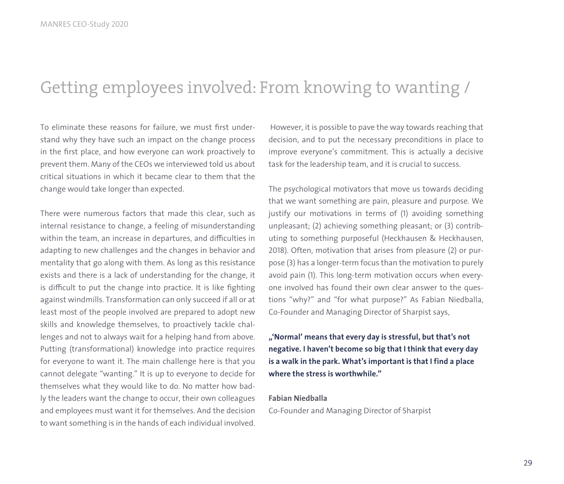## Getting employees involved: From knowing to wanting /

To eliminate these reasons for failure, we must first understand why they have such an impact on the change process in the first place, and how everyone can work proactively to prevent them. Many of the CEOs we interviewed told us about critical situations in which it became clear to them that the change would take longer than expected.

There were numerous factors that made this clear, such as internal resistance to change, a feeling of misunderstanding within the team, an increase in departures, and difficulties in adapting to new challenges and the changes in behavior and mentality that go along with them. As long as this resistance exists and there is a lack of understanding for the change, it is difficult to put the change into practice. It is like fighting against windmills. Transformation can only succeed if all or at least most of the people involved are prepared to adopt new skills and knowledge themselves, to proactively tackle challenges and not to always wait for a helping hand from above. Putting (transformational) knowledge into practice requires for everyone to want it. The main challenge here is that you cannot delegate "wanting." It is up to everyone to decide for themselves what they would like to do. No matter how badly the leaders want the change to occur, their own colleagues and employees must want it for themselves. And the decision to want something is in the hands of each individual involved.

 However, it is possible to pave the way towards reaching that decision, and to put the necessary preconditions in place to improve everyone's commitment. This is actually a decisive task for the leadership team, and it is crucial to success.

The psychological motivators that move us towards deciding that we want something are pain, pleasure and purpose. We justify our motivations in terms of (1) avoiding something unpleasant; (2) achieving something pleasant; or (3) contributing to something purposeful (Heckhausen & Heckhausen, 2018). Often, motivation that arises from pleasure (2) or purpose (3) has a longer-term focus than the motivation to purely avoid pain (1). This long-term motivation occurs when everyone involved has found their own clear answer to the questions "why?" and "for what purpose?" As Fabian Niedballa, Co-Founder and Managing Director of Sharpist says,

**"'Normal' means that every day is stressful, but that's not negative. I haven't become so big that I think that every day is a walk in the park. What's important is that I find a place where the stress is worthwhile."**

#### **Fabian Niedballa**

Co-Founder and Managing Director of Sharpist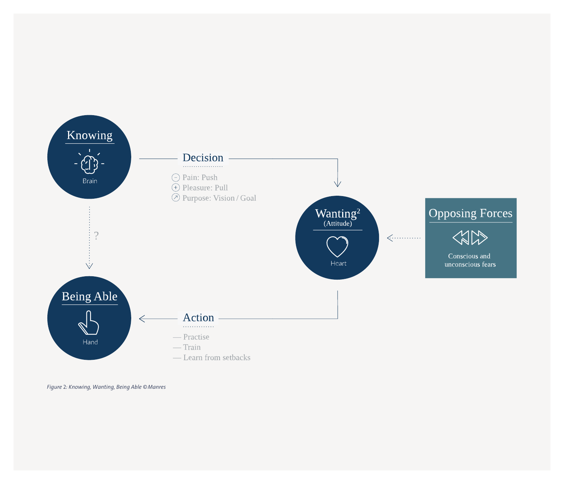

*Figure* 2*: Knowing, Wanting, Being Able ©Manres*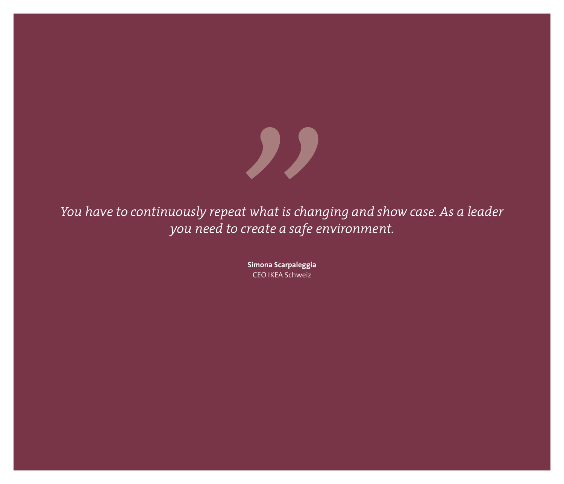

*You have to continuously repeat what is changing and show case. As a leader you need to create a safe environment.*

> **Simona Scarpaleggia** CEO IKEA Schweiz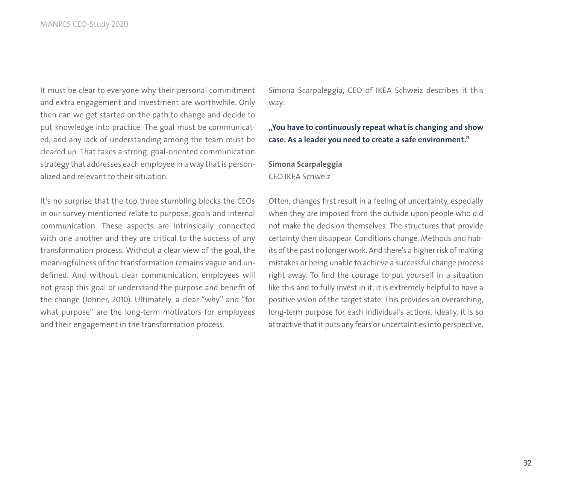It must be clear to everyone why their personal commitment and extra engagement and investment are worthwhile. Only then can we get started on the path to change and decide to put knowledge into practice. The goal must be communicated, and any lack of understanding among the team must be cleared up. That takes a strong, goal-oriented communication strategy that addresses each employee in a way that is personalized and relevant to their situation.

It's no surprise that the top three stumbling blocks the CEOs in our survey mentioned relate to purpose, goals and internal communication. These aspects are intrinsically connected with one another and they are critical to the success of any transformation process. Without a clear view of the goal, the meaningfulness of the transformation remains vague and undefined. And without clear communication, employees will not grasp this goal or understand the purpose and benefit of the change (Johner, 2010). Ultimately, a clear "why" and "for what purpose" are the long-term motivators for employees and their engagement in the transformation process.

Simona Scarpaleggia, CEO of IKEA Schweiz describes it this way:

### **"You have to continuously repeat what is changing and show case. As a leader you need to create a safe environment."**

#### **Simona Scarpaleggia** CEO IKEA Schweiz

Often, changes first result in a feeling of uncertainty, especially when they are imposed from the outside upon people who did not make the decision themselves. The structures that provide certainty then disappear. Conditions change. Methods and habits of the past no longer work. And there's a higher risk of making mistakes or being unable to achieve a successful change process right away. To find the courage to put yourself in a situation like this and to fully invest in it, it is extremely helpful to have a positive vision of the target state. This provides an overarching, long-term purpose for each individual's actions. Ideally, it is so attractive that it puts any fears or uncertainties into perspective.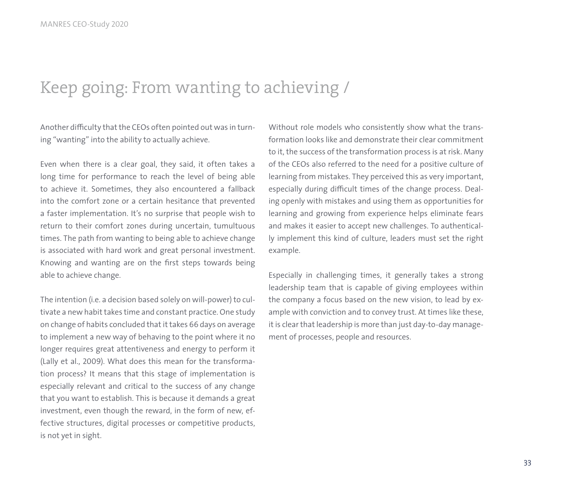### Keep going: From wanting to achieving /

Another difficulty that the CEOs often pointed out was in turning "wanting" into the ability to actually achieve.

Even when there is a clear goal, they said, it often takes a long time for performance to reach the level of being able to achieve it. Sometimes, they also encountered a fallback into the comfort zone or a certain hesitance that prevented a faster implementation. It's no surprise that people wish to return to their comfort zones during uncertain, tumultuous times. The path from wanting to being able to achieve change is associated with hard work and great personal investment. Knowing and wanting are on the first steps towards being able to achieve change.

The intention (i.e. a decision based solely on will-power) to cultivate a new habit takes time and constant practice. One study on change of habits concluded that it takes 66 days on average to implement a new way of behaving to the point where it no longer requires great attentiveness and energy to perform it (Lally et al., 2009). What does this mean for the transformation process? It means that this stage of implementation is especially relevant and critical to the success of any change that you want to establish. This is because it demands a great investment, even though the reward, in the form of new, effective structures, digital processes or competitive products, is not yet in sight.

Without role models who consistently show what the transformation looks like and demonstrate their clear commitment to it, the success of the transformation process is at risk. Many of the CEOs also referred to the need for a positive culture of learning from mistakes. They perceived this as very important, especially during difficult times of the change process. Dealing openly with mistakes and using them as opportunities for learning and growing from experience helps eliminate fears and makes it easier to accept new challenges. To authentically implement this kind of culture, leaders must set the right example.

Especially in challenging times, it generally takes a strong leadership team that is capable of giving employees within the company a focus based on the new vision, to lead by example with conviction and to convey trust. At times like these, it is clear that leadership is more than just day-to-day management of processes, people and resources.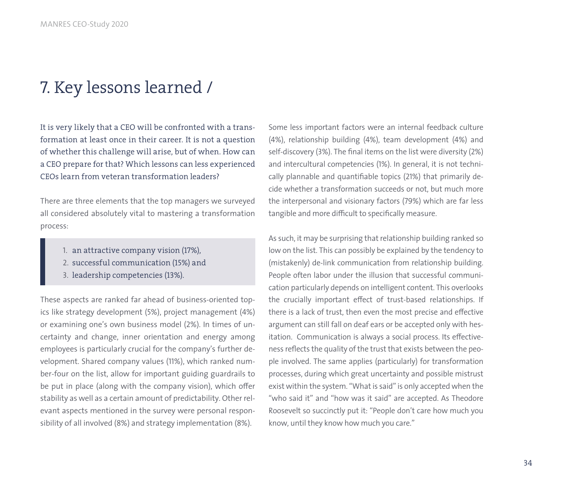## 7. Key lessons learned /

It is very likely that a CEO will be confronted with a transformation at least once in their career. It is not a question of whether this challenge will arise, but of when. How can a CEO prepare for that? Which lessons can less experienced CEOs learn from veteran transformation leaders?

There are three elements that the top managers we surveyed all considered absolutely vital to mastering a transformation process:

- 1. an attractive company vision (17%),
- 2. successful communication (15%) and
- 3. leadership competencies (13%).

These aspects are ranked far ahead of business-oriented topics like strategy development (5%), project management (4%) or examining one's own business model (2%). In times of uncertainty and change, inner orientation and energy among employees is particularly crucial for the company's further development. Shared company values (11%), which ranked number-four on the list, allow for important guiding guardrails to be put in place (along with the company vision), which offer stability as well as a certain amount of predictability. Other relevant aspects mentioned in the survey were personal responsibility of all involved (8%) and strategy implementation (8%).

Some less important factors were an internal feedback culture (4%), relationship building (4%), team development (4%) and self-discovery (3%). The final items on the list were diversity (2%) and intercultural competencies (1%). In general, it is not technically plannable and quantifiable topics (21%) that primarily decide whether a transformation succeeds or not, but much more the interpersonal and visionary factors (79%) which are far less tangible and more difficult to specifically measure.

As such, it may be surprising that relationship building ranked so low on the list. This can possibly be explained by the tendency to (mistakenly) de-link communication from relationship building. People often labor under the illusion that successful communication particularly depends on intelligent content. This overlooks the crucially important effect of trust-based relationships. If there is a lack of trust, then even the most precise and effective argument can still fall on deaf ears or be accepted only with hesitation. Communication is always a social process. Its effectiveness reflects the quality of the trust that exists between the people involved. The same applies (particularly) for transformation processes, during which great uncertainty and possible mistrust exist within the system. "What is said" is only accepted when the "who said it" and "how was it said" are accepted. As Theodore Roosevelt so succinctly put it: "People don't care how much you know, until they know how much you care."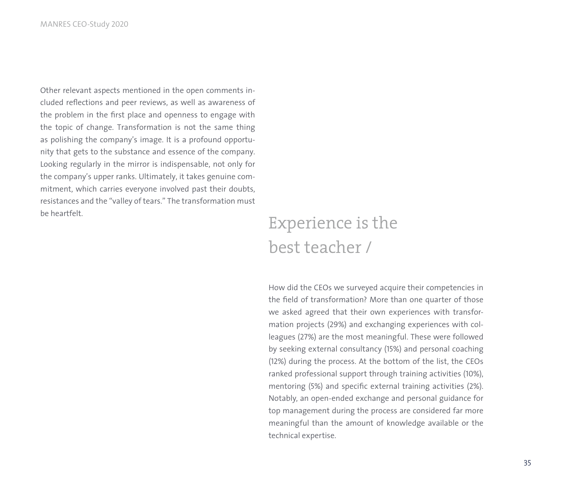Other relevant aspects mentioned in the open comments included reflections and peer reviews, as well as awareness of the problem in the first place and openness to engage with the topic of change. Transformation is not the same thing as polishing the company's image. It is a profound opportunity that gets to the substance and essence of the company. Looking regularly in the mirror is indispensable, not only for the company's upper ranks. Ultimately, it takes genuine commitment, which carries everyone involved past their doubts, resistances and the "valley of tears." The transformation must

# be heartfelt. Experience is the best teacher /

How did the CEOs we surveyed acquire their competencies in the field of transformation? More than one quarter of those we asked agreed that their own experiences with transformation projects (29%) and exchanging experiences with colleagues (27%) are the most meaningful. These were followed by seeking external consultancy (15%) and personal coaching (12%) during the process. At the bottom of the list, the CEOs ranked professional support through training activities (10%), mentoring (5%) and specific external training activities (2%). Notably, an open-ended exchange and personal guidance for top management during the process are considered far more meaningful than the amount of knowledge available or the technical expertise.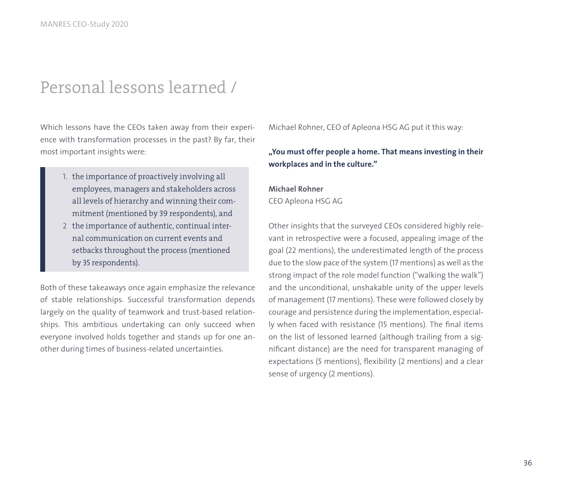## Personal lessons learned /

Which lessons have the CEOs taken away from their experience with transformation processes in the past? By far, their most important insights were:

- 1. the importance of proactively involving all employees, managers and stakeholders across all levels of hierarchy and winning their commitment (mentioned by 39 respondents), and
- 2 the importance of authentic, continual internal communication on current events and setbacks throughout the process (mentioned by 35 respondents).

Both of these takeaways once again emphasize the relevance of stable relationships. Successful transformation depends largely on the quality of teamwork and trust-based relationships. This ambitious undertaking can only succeed when everyone involved holds together and stands up for one another during times of business-related uncertainties.

Michael Rohner, CEO of Apleona HSG AG put it this way:

### **"You must offer people a home. That means investing in their workplaces and in the culture."**

#### **Michael Rohner**

CEO Apleona HSG AG

Other insights that the surveyed CEOs considered highly relevant in retrospective were a focused, appealing image of the goal (22 mentions), the underestimated length of the process due to the slow pace of the system (17 mentions) as well as the strong impact of the role model function ("walking the walk") and the unconditional, unshakable unity of the upper levels of management (17 mentions). These were followed closely by courage and persistence during the implementation, especially when faced with resistance (15 mentions). The final items on the list of lessoned learned (although trailing from a significant distance) are the need for transparent managing of expectations (5 mentions), flexibility (2 mentions) and a clear sense of urgency (2 mentions).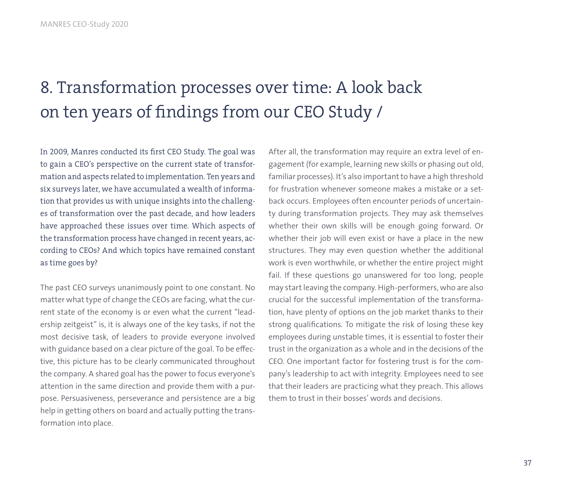# 8. Transformation processes over time: A look back on ten years of findings from our CEO Study /

In 2009, Manres conducted its first CEO Study. The goal was to gain a CEO's perspective on the current state of transformation and aspects related to implementation. Ten years and six surveys later, we have accumulated a wealth of information that provides us with unique insights into the challenges of transformation over the past decade, and how leaders have approached these issues over time. Which aspects of the transformation process have changed in recent years, according to CEOs? And which topics have remained constant as time goes by?

The past CEO surveys unanimously point to one constant. No matter what type of change the CEOs are facing, what the current state of the economy is or even what the current "leadership zeitgeist" is, it is always one of the key tasks, if not the most decisive task, of leaders to provide everyone involved with guidance based on a clear picture of the goal. To be effective, this picture has to be clearly communicated throughout the company. A shared goal has the power to focus everyone's attention in the same direction and provide them with a purpose. Persuasiveness, perseverance and persistence are a big help in getting others on board and actually putting the transformation into place.

After all, the transformation may require an extra level of engagement (for example, learning new skills or phasing out old, familiar processes). It's also important to have a high threshold for frustration whenever someone makes a mistake or a setback occurs. Employees often encounter periods of uncertainty during transformation projects. They may ask themselves whether their own skills will be enough going forward. Or whether their job will even exist or have a place in the new structures. They may even question whether the additional work is even worthwhile, or whether the entire project might fail. If these questions go unanswered for too long, people may start leaving the company. High-performers, who are also crucial for the successful implementation of the transformation, have plenty of options on the job market thanks to their strong qualifications. To mitigate the risk of losing these key employees during unstable times, it is essential to foster their trust in the organization as a whole and in the decisions of the CEO. One important factor for fostering trust is for the company's leadership to act with integrity. Employees need to see that their leaders are practicing what they preach. This allows them to trust in their bosses' words and decisions.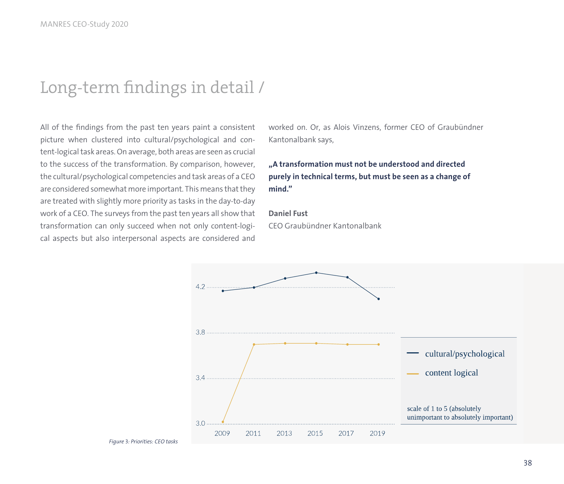## Long-term findings in detail /

All of the findings from the past ten years paint a consistent picture when clustered into cultural/psychological and content-logical task areas. On average, both areas are seen as crucial to the success of the transformation. By comparison, however, the cultural/psychological competencies and task areas of a CEO are considered somewhat more important. This means that they are treated with slightly more priority as tasks in the day-to-day work of a CEO. The surveys from the past ten years all show that transformation can only succeed when not only content-logical aspects but also interpersonal aspects are considered and worked on. Or, as Alois Vinzens, former CEO of Graubündner Kantonalbank says,

**"A transformation must not be understood and directed purely in technical terms, but must be seen as a change of mind."**

### **Daniel Fust** CEO Graubündner Kantonalbank



*Figure* 3*: Priorities: CEO tasks*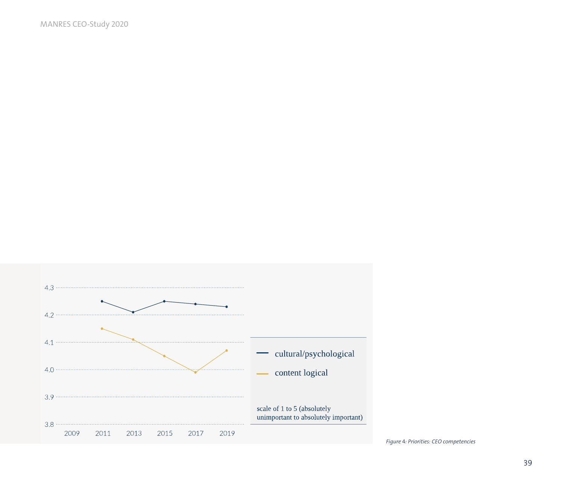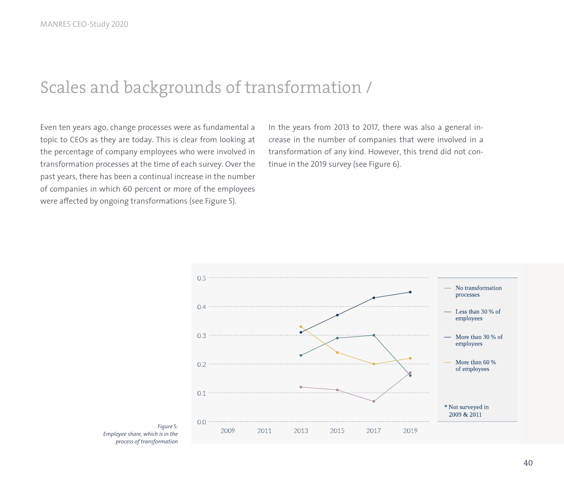### Scales and backgrounds of transformation /

Even ten years ago, change processes were as fundamental a topic to CEOs as they are today. This is clear from looking at the percentage of company employees who were involved in transformation processes at the time of each survey. Over the past years, there has been a continual increase in the number of companies in which 60 percent or more of the employees were affected by ongoing transformations (see Figure 5).

In the years from 2013 to 2017, there was also a general increase in the number of companies that were involved in a transformation of any kind. However, this trend did not continue in the 2019 survey (see Figure 6).



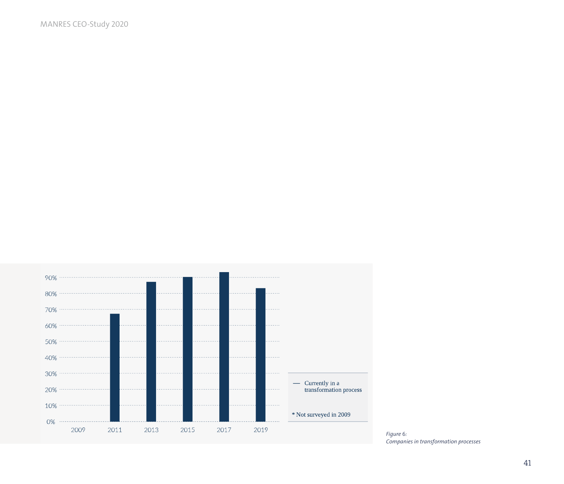

*Figure* 6*: Companies in transformation processes*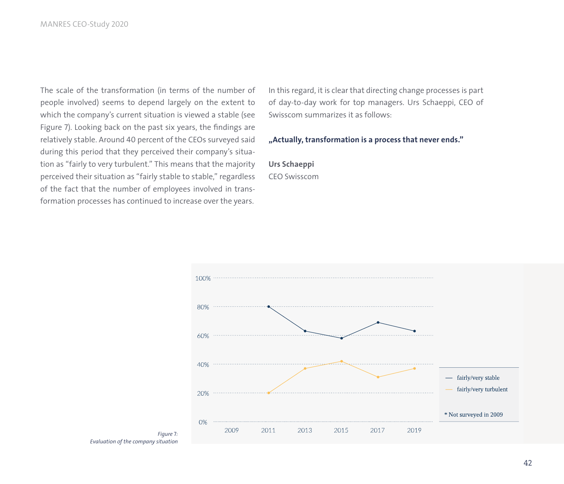The scale of the transformation (in terms of the number of people involved) seems to depend largely on the extent to which the company's current situation is viewed a stable (see Figure 7). Looking back on the past six years, the findings are relatively stable. Around 40 percent of the CEOs surveyed said during this period that they perceived their company's situation as "fairly to very turbulent." This means that the majority perceived their situation as "fairly stable to stable," regardless of the fact that the number of employees involved in transformation processes has continued to increase over the years.

In this regard, it is clear that directing change processes is part of day-to-day work for top managers. Urs Schaeppi, CEO of Swisscom summarizes it as follows:

#### **"Actually, transformation is a process that never ends."**

### **Urs Schaeppi**

CEO Swisscom



*Figure* 7*: Evaluation of the company situation*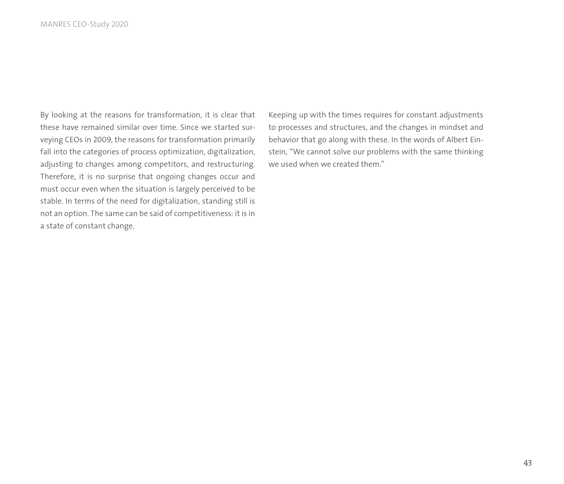By looking at the reasons for transformation, it is clear that these have remained similar over time. Since we started surveying CEOs in 2009, the reasons for transformation primarily fall into the categories of process optimization, digitalization, adjusting to changes among competitors, and restructuring. Therefore, it is no surprise that ongoing changes occur and must occur even when the situation is largely perceived to be stable. In terms of the need for digitalization, standing still is not an option. The same can be said of competitiveness: it is in a state of constant change.

Keeping up with the times requires for constant adjustments to processes and structures, and the changes in mindset and behavior that go along with these. In the words of Albert Einstein, "We cannot solve our problems with the same thinking we used when we created them."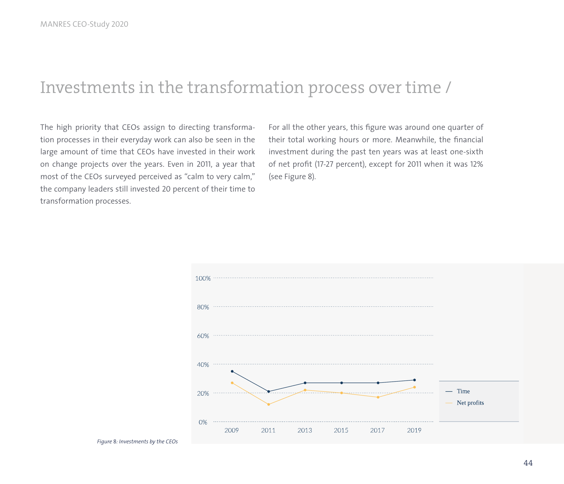### Investments in the transformation process over time /

The high priority that CEOs assign to directing transformation processes in their everyday work can also be seen in the large amount of time that CEOs have invested in their work on change projects over the years. Even in 2011, a year that most of the CEOs surveyed perceived as "calm to very calm," the company leaders still invested 20 percent of their time to transformation processes.

For all the other years, this figure was around one quarter of their total working hours or more. Meanwhile, the financial investment during the past ten years was at least one-sixth of net profit (17-27 percent), except for 2011 when it was 12% (see Figure 8).



*Figure* 8*: Investments by the CEOs*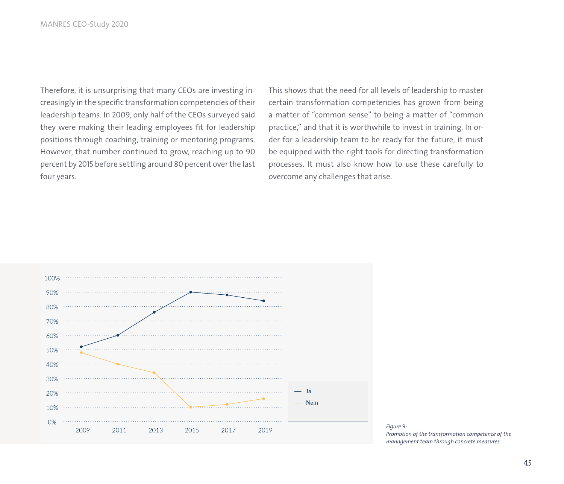Therefore, it is unsurprising that many CEOs are investing increasingly in the specific transformation competencies of their leadership teams. In 2009, only half of the CEOs surveyed said they were making their leading employees fit for leadership positions through coaching, training or mentoring programs. However, that number continued to grow, reaching up to 90 percent by 2015 before settling around 80 percent over the last four years.

This shows that the need for all levels of leadership to master certain transformation competencies has grown from being a matter of "common sense" to being a matter of "common practice," and that it is worthwhile to invest in training. In order for a leadership team to be ready for the future, it must be equipped with the right tools for directing transformation processes. It must also know how to use these carefully to overcome any challenges that arise.



*Figure* 9*: Promotion of the transformation competence of the management team through concrete measures*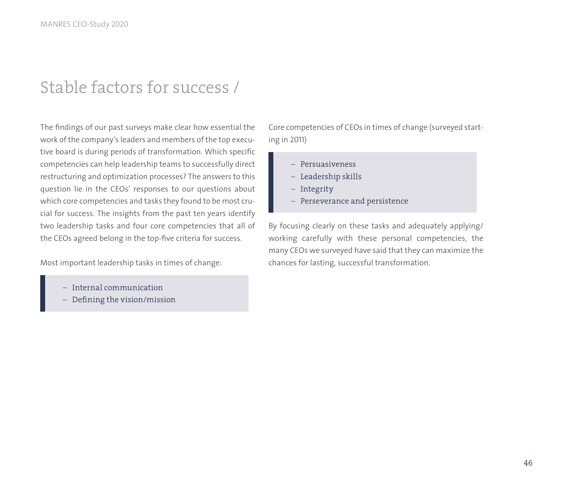## Stable factors for success /

The findings of our past surveys make clear how essential the work of the company's leaders and members of the top executive board is during periods of transformation. Which specific competencies can help leadership teams to successfully direct restructuring and optimization processes? The answers to this question lie in the CEOs' responses to our questions about which core competencies and tasks they found to be most crucial for success. The insights from the past ten years identify two leadership tasks and four core competencies that all of the CEOs agreed belong in the top-five criteria for success.

Most important leadership tasks in times of change:

- Internal communication
- Defining the vision/mission

Core competencies of CEOs in times of change (surveyed starting in 2011)

- Persuasiveness
- Leadership skills
- Integrity
- Perseverance and persistence

By focusing clearly on these tasks and adequately applying/ working carefully with these personal competencies, the many CEOs we surveyed have said that they can maximize the chances for lasting, successful transformation.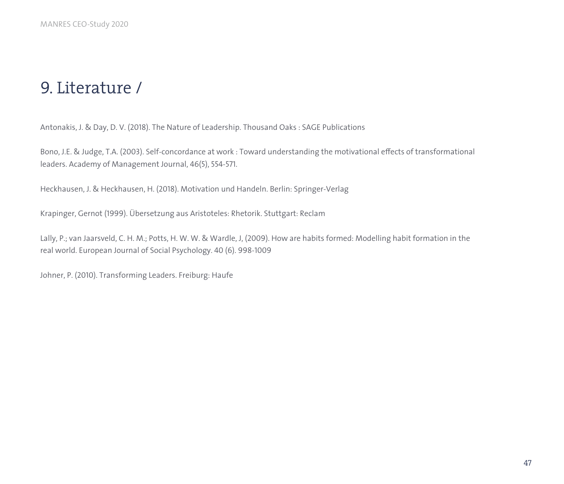## 9. Literature /

Antonakis, J. & Day, D. V. (2018). The Nature of Leadership. Thousand Oaks : SAGE Publications

Bono, J.E. & Judge, T.A. (2003). Self-concordance at work : Toward understanding the motivational effects of transformational leaders. Academy of Management Journal, 46(5), 554-571.

Heckhausen, J. & Heckhausen, H. (2018). Motivation und Handeln. Berlin: Springer-Verlag

Krapinger, Gernot (1999). Übersetzung aus Aristoteles: Rhetorik. Stuttgart: Reclam

Lally, P.; van Jaarsveld, C. H. M.; Potts, H. W. W. & Wardle, J, (2009). How are habits formed: Modelling habit formation in the real world. European Journal of Social Psychology. 40 (6). 998-1009

Johner, P. (2010). Transforming Leaders. Freiburg: Haufe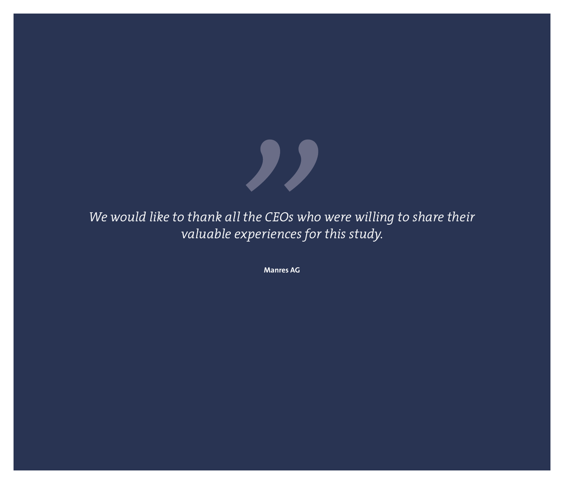

*We would like to thank all the CEOs who were willing to share their valuable experiences for this study.*

**Manres AG**